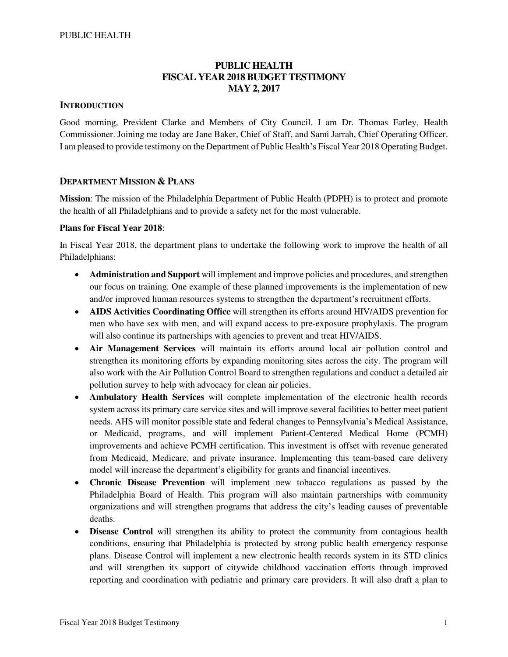## **PUBLIC HEALTH FISCAL YEAR 2018 BUDGET TESTIMONY MAY 2, 2017**

### **INTRODUCTION**

Good morning, President Clarke and Members of City Council. I am Dr. Thomas Farley, Health Commissioner. Joining me today are Jane Baker, Chief of Staff, and Sami Jarrah, Chief Operating Officer. I am pleased to provide testimony on the Department of Public Health's Fiscal Year 2018 Operating Budget.

### **DEPARTMENT MISSION & PLANS**

**Mission**: The mission of the Philadelphia Department of Public Health (PDPH) is to protect and promote the health of all Philadelphians and to provide a safety net for the most vulnerable.

#### **Plans for Fiscal Year 2018**:

In Fiscal Year 2018, the department plans to undertake the following work to improve the health of all Philadelphians:

- **Administration and Support** will implement and improve policies and procedures, and strengthen our focus on training. One example of these planned improvements is the implementation of new and/or improved human resources systems to strengthen the department's recruitment efforts.
- **AIDS Activities Coordinating Office** will strengthen its efforts around HIV/AIDS prevention for men who have sex with men, and will expand access to pre-exposure prophylaxis. The program will also continue its partnerships with agencies to prevent and treat HIV/AIDS.
- **Air Management Services** will maintain its efforts around local air pollution control and strengthen its monitoring efforts by expanding monitoring sites across the city. The program will also work with the Air Pollution Control Board to strengthen regulations and conduct a detailed air pollution survey to help with advocacy for clean air policies.
- **Ambulatory Health Services** will complete implementation of the electronic health records system across its primary care service sites and will improve several facilities to better meet patient needs. AHS will monitor possible state and federal changes to Pennsylvania's Medical Assistance, or Medicaid, programs, and will implement Patient-Centered Medical Home (PCMH) improvements and achieve PCMH certification. This investment is offset with revenue generated from Medicaid, Medicare, and private insurance. Implementing this team-based care delivery model will increase the department's eligibility for grants and financial incentives.
- **Chronic Disease Prevention** will implement new tobacco regulations as passed by the Philadelphia Board of Health. This program will also maintain partnerships with community organizations and will strengthen programs that address the city's leading causes of preventable deaths.
- **Disease Control** will strengthen its ability to protect the community from contagious health conditions, ensuring that Philadelphia is protected by strong public health emergency response plans. Disease Control will implement a new electronic health records system in its STD clinics and will strengthen its support of citywide childhood vaccination efforts through improved reporting and coordination with pediatric and primary care providers. It will also draft a plan to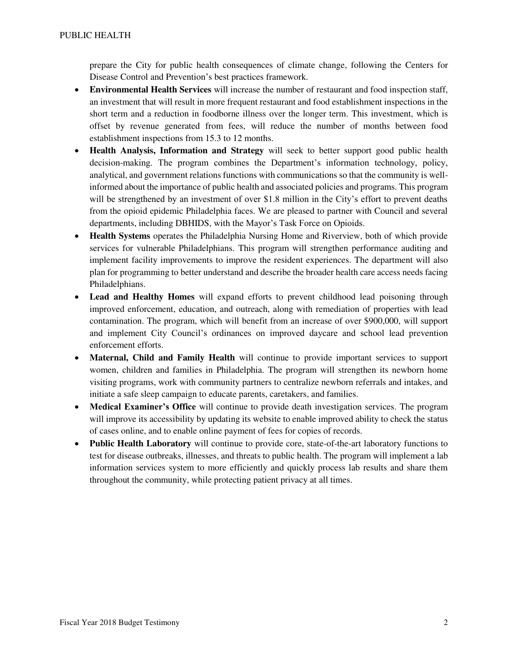prepare the City for public health consequences of climate change, following the Centers for Disease Control and Prevention's best practices framework.

- **Environmental Health Services** will increase the number of restaurant and food inspection staff, an investment that will result in more frequent restaurant and food establishment inspections in the short term and a reduction in foodborne illness over the longer term. This investment, which is offset by revenue generated from fees, will reduce the number of months between food establishment inspections from 15.3 to 12 months.
- **Health Analysis, Information and Strategy** will seek to better support good public health decision-making. The program combines the Department's information technology, policy, analytical, and government relations functions with communications so that the community is wellinformed about the importance of public health and associated policies and programs. This program will be strengthened by an investment of over \$1.8 million in the City's effort to prevent deaths from the opioid epidemic Philadelphia faces. We are pleased to partner with Council and several departments, including DBHIDS, with the Mayor's Task Force on Opioids.
- **Health Systems** operates the Philadelphia Nursing Home and Riverview, both of which provide services for vulnerable Philadelphians. This program will strengthen performance auditing and implement facility improvements to improve the resident experiences. The department will also plan for programming to better understand and describe the broader health care access needs facing Philadelphians.
- **Lead and Healthy Homes** will expand efforts to prevent childhood lead poisoning through improved enforcement, education, and outreach, along with remediation of properties with lead contamination. The program, which will benefit from an increase of over \$900,000, will support and implement City Council's ordinances on improved daycare and school lead prevention enforcement efforts.
- **Maternal, Child and Family Health** will continue to provide important services to support women, children and families in Philadelphia. The program will strengthen its newborn home visiting programs, work with community partners to centralize newborn referrals and intakes, and initiate a safe sleep campaign to educate parents, caretakers, and families.
- **Medical Examiner's Office** will continue to provide death investigation services. The program will improve its accessibility by updating its website to enable improved ability to check the status of cases online, and to enable online payment of fees for copies of records.
- **Public Health Laboratory** will continue to provide core, state-of-the-art laboratory functions to test for disease outbreaks, illnesses, and threats to public health. The program will implement a lab information services system to more efficiently and quickly process lab results and share them throughout the community, while protecting patient privacy at all times.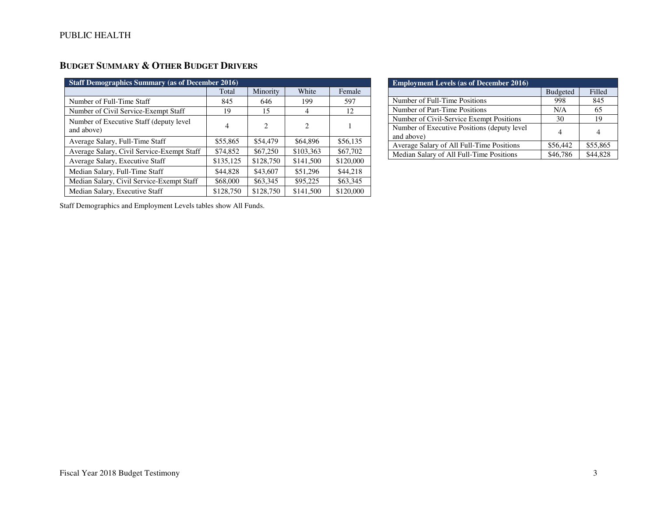# **BUDGET SUMMARY & OTHER BUDGET DRIVERS**

| <b>Staff Demographics Summary (as of December 2016)</b> |           |               |                |           |  |  |  |
|---------------------------------------------------------|-----------|---------------|----------------|-----------|--|--|--|
|                                                         | Total     | Minority      | White          | Female    |  |  |  |
| Number of Full-Time Staff                               | 845       | 646           | 199            | 597       |  |  |  |
| Number of Civil Service-Exempt Staff                    | 19        | 15            | 4              | 12        |  |  |  |
| Number of Executive Staff (deputy level)<br>and above)  | 4         | $\mathcal{L}$ | $\mathfrak{D}$ |           |  |  |  |
| Average Salary, Full-Time Staff                         | \$55,865  | \$54,479      | \$64,896       | \$56,135  |  |  |  |
| Average Salary, Civil Service-Exempt Staff              | \$74,852  | \$67,250      | \$103,363      | \$67,702  |  |  |  |
| Average Salary, Executive Staff                         | \$135,125 | \$128,750     | \$141,500      | \$120,000 |  |  |  |
| Median Salary, Full-Time Staff                          | \$44,828  | \$43,607      | \$51,296       | \$44,218  |  |  |  |
| Median Salary, Civil Service-Exempt Staff               | \$68,000  | \$63,345      | \$95,225       | \$63,345  |  |  |  |
| Median Salary, Executive Staff                          | \$128,750 | \$128,750     | \$141,500      | \$120,000 |  |  |  |

| <b>Employment Levels (as of December 2016)</b>             |                 |          |
|------------------------------------------------------------|-----------------|----------|
|                                                            | <b>Budgeted</b> | Filled   |
| Number of Full-Time Positions                              | 998             | 845      |
| Number of Part-Time Positions                              | N/A             | 65       |
| Number of Civil-Service Exempt Positions                   | 30              | 19       |
| Number of Executive Positions (deputy level)<br>and above) | 4               |          |
| Average Salary of All Full-Time Positions                  | \$56,442        | \$55,865 |
| Median Salary of All Full-Time Positions                   | \$46,786        | \$44,828 |

Staff Demographics and Employment Levels tables show All Funds.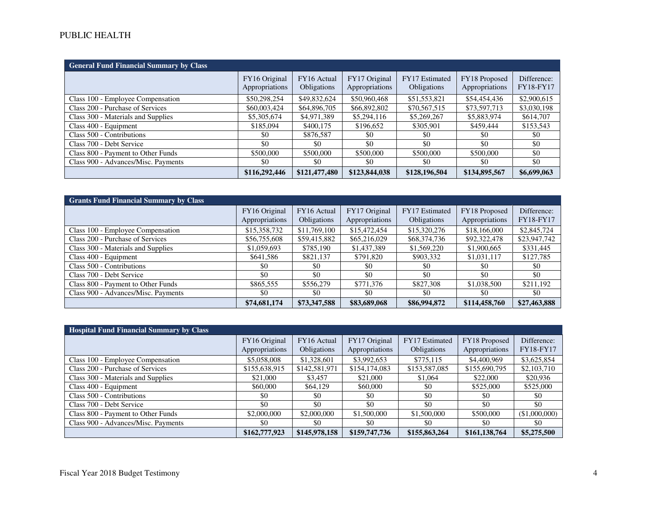## PUBLIC HEALTH

| <b>General Fund Financial Summary by Class</b> |                                 |                            |                                 |                               |                                 |                                 |  |  |
|------------------------------------------------|---------------------------------|----------------------------|---------------------------------|-------------------------------|---------------------------------|---------------------------------|--|--|
|                                                | FY16 Original<br>Appropriations | FY16 Actual<br>Obligations | FY17 Original<br>Appropriations | FY17 Estimated<br>Obligations | FY18 Proposed<br>Appropriations | Difference:<br><b>FY18-FY17</b> |  |  |
| Class 100 - Employee Compensation              | \$50,298,254                    | \$49,832,624               | \$50,960,468                    | \$51,553,821                  | \$54,454,436                    | \$2,900,615                     |  |  |
| Class 200 - Purchase of Services               | \$60,003,424                    | \$64,896,705               | \$66,892,802                    | \$70,567,515                  | \$73,597,713                    | \$3,030,198                     |  |  |
| Class 300 - Materials and Supplies             | \$5,305,674                     | \$4,971,389                | \$5,294,116                     | \$5,269,267                   | \$5,883,974                     | \$614,707                       |  |  |
| Class 400 - Equipment                          | \$185,094                       | \$400,175                  | \$196,652                       | \$305,901                     | \$459,444                       | \$153,543                       |  |  |
| Class 500 - Contributions                      | \$0                             | \$876,587                  | \$0                             | \$0                           | \$0                             | \$0                             |  |  |
| Class 700 - Debt Service                       | \$0                             | \$0                        | \$0                             | \$0                           | \$0                             | \$0                             |  |  |
| Class 800 - Payment to Other Funds             | \$500,000                       | \$500,000                  | \$500,000                       | \$500,000                     | \$500,000                       | \$0                             |  |  |
| Class 900 - Advances/Misc. Payments            | \$0                             | \$0                        | \$0                             | \$0                           | \$0                             | \$0                             |  |  |
|                                                | \$116,292,446                   | \$121,477,480              | \$123,844,038                   | \$128,196,504                 | \$134,895,567                   | \$6,699,063                     |  |  |

| <b>Grants Fund Financial Summary by Class</b> |                                 |                            |                                 |                               |                                 |                          |
|-----------------------------------------------|---------------------------------|----------------------------|---------------------------------|-------------------------------|---------------------------------|--------------------------|
|                                               | FY16 Original<br>Appropriations | FY16 Actual<br>Obligations | FY17 Original<br>Appropriations | FY17 Estimated<br>Obligations | FY18 Proposed<br>Appropriations | Difference:<br>FY18-FY17 |
| Class 100 - Employee Compensation             | \$15,358,732                    | \$11,769,100               | \$15,472,454                    | \$15,320,276                  | \$18,166,000                    | \$2,845,724              |
| Class 200 - Purchase of Services              | \$56,755,608                    | \$59,415,882               | \$65,216,029                    | \$68,374,736                  | \$92,322,478                    | \$23,947,742             |
| Class 300 - Materials and Supplies            | \$1,059,693                     | \$785,190                  | \$1,437,389                     | \$1,569,220                   | \$1,900,665                     | \$331,445                |
| Class 400 - Equipment                         | \$641,586                       | \$821,137                  | \$791,820                       | \$903,332                     | \$1,031,117                     | \$127,785                |
| Class 500 - Contributions                     | \$0                             | \$0                        | \$0                             | \$0                           | \$0                             | \$0                      |
| Class 700 - Debt Service                      | \$0                             | \$0                        | \$0                             | \$0                           | \$0                             | \$0                      |
| Class 800 - Payment to Other Funds            | \$865,555                       | \$556,279                  | \$771.376                       | \$827,308                     | \$1,038,500                     | \$211,192                |
| Class 900 - Advances/Misc. Payments           | \$0                             | \$0                        | \$0                             | \$0                           | \$0                             | \$0                      |
|                                               | \$74,681,174                    | \$73,347,588               | \$83,689,068                    | \$86,994,872                  | \$114,458,760                   | \$27,463,888             |

| <b>Hospital Fund Financial Summary by Class</b> |                                 |                            |                                 |                                      |                                 |                          |  |  |
|-------------------------------------------------|---------------------------------|----------------------------|---------------------------------|--------------------------------------|---------------------------------|--------------------------|--|--|
|                                                 | FY16 Original<br>Appropriations | FY16 Actual<br>Obligations | FY17 Original<br>Appropriations | FY17 Estimated<br><b>Obligations</b> | FY18 Proposed<br>Appropriations | Difference:<br>FY18-FY17 |  |  |
| Class 100 - Employee Compensation               | \$5,058,008                     | \$1,328,601                | \$3,992,653                     | \$775,115                            | \$4,400,969                     | \$3,625,854              |  |  |
| Class 200 - Purchase of Services                | \$155,638,915                   | \$142,581,971              | \$154,174,083                   | \$153,587,085                        | \$155,690,795                   | \$2,103,710              |  |  |
| Class 300 - Materials and Supplies              | \$21,000                        | \$3,457                    | \$21,000                        | \$1,064                              | \$22,000                        | \$20,936                 |  |  |
| Class 400 - Equipment                           | \$60,000                        | \$64,129                   | \$60,000                        | \$0                                  | \$525,000                       | \$525,000                |  |  |
| Class 500 - Contributions                       | \$0                             | \$0                        | \$0                             | \$0                                  | \$0                             | \$0                      |  |  |
| Class 700 - Debt Service                        | \$0                             | \$0                        | \$0                             | \$0                                  | \$0                             | \$0                      |  |  |
| Class 800 - Payment to Other Funds              | \$2,000,000                     | \$2,000,000                | \$1,500,000                     | \$1,500,000                          | \$500,000                       | (\$1,000,000)            |  |  |
| Class 900 - Advances/Misc. Payments             | \$0                             | \$0                        | \$0                             | \$0                                  | \$0                             | \$0                      |  |  |
|                                                 | \$162,777,923                   | \$145,978,158              | \$159,747,736                   | \$155,863,264                        | \$161,138,764                   | \$5,275,500              |  |  |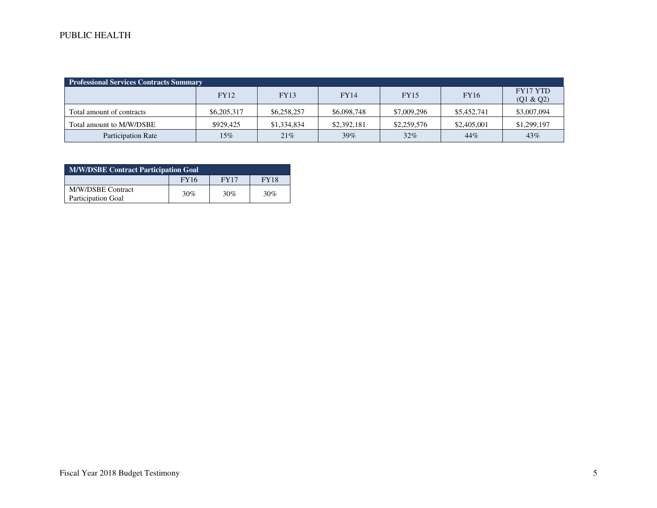| <b>Professional Services Contracts Summary</b> |             |             |             |             |             |                       |  |  |
|------------------------------------------------|-------------|-------------|-------------|-------------|-------------|-----------------------|--|--|
|                                                | <b>FY12</b> | <b>FY13</b> | <b>FY14</b> | <b>FY15</b> | <b>FY16</b> | FY17 YTD<br>(Q1 & Q2) |  |  |
| Total amount of contracts                      | \$6,205,317 | \$6,258,257 | \$6,098,748 | \$7,009,296 | \$5,452,741 | \$3,007,094           |  |  |
| Total amount to M/W/DSBE                       | \$929.425   | \$1,334,834 | \$2,392,181 | \$2,259,576 | \$2,405,001 | \$1,299,197           |  |  |
| <b>Participation Rate</b>                      | $15\%$      | 21%         | 39%         | 32%         | 44%         | 43%                   |  |  |

| <b>M/W/DSBE Contract Participation Goal</b>    |             |      |             |  |  |  |
|------------------------------------------------|-------------|------|-------------|--|--|--|
|                                                | <b>FY16</b> | FY17 | <b>FY18</b> |  |  |  |
| M/W/DSBE Contract<br><b>Participation Goal</b> | 30%         | 30%  | 30%         |  |  |  |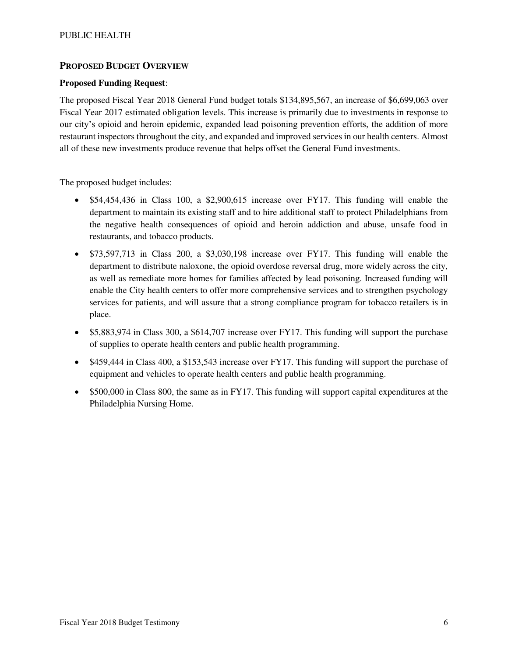## **PROPOSED BUDGET OVERVIEW**

#### **Proposed Funding Request**:

The proposed Fiscal Year 2018 General Fund budget totals \$134,895,567, an increase of \$6,699,063 over Fiscal Year 2017 estimated obligation levels. This increase is primarily due to investments in response to our city's opioid and heroin epidemic, expanded lead poisoning prevention efforts, the addition of more restaurant inspectors throughout the city, and expanded and improved services in our health centers. Almost all of these new investments produce revenue that helps offset the General Fund investments.

The proposed budget includes:

- \$54,454,436 in Class 100, a \$2,900,615 increase over FY17. This funding will enable the department to maintain its existing staff and to hire additional staff to protect Philadelphians from the negative health consequences of opioid and heroin addiction and abuse, unsafe food in restaurants, and tobacco products.
- \$73,597,713 in Class 200, a \$3,030,198 increase over FY17. This funding will enable the department to distribute naloxone, the opioid overdose reversal drug, more widely across the city, as well as remediate more homes for families affected by lead poisoning. Increased funding will enable the City health centers to offer more comprehensive services and to strengthen psychology services for patients, and will assure that a strong compliance program for tobacco retailers is in place.
- \$5,883,974 in Class 300, a \$614,707 increase over FY17. This funding will support the purchase of supplies to operate health centers and public health programming.
- \$459,444 in Class 400, a \$153,543 increase over FY17. This funding will support the purchase of equipment and vehicles to operate health centers and public health programming.
- \$500,000 in Class 800, the same as in FY17. This funding will support capital expenditures at the Philadelphia Nursing Home.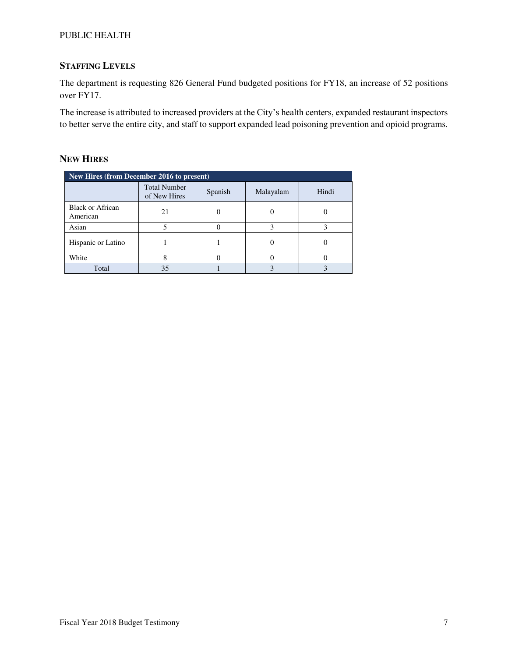## PUBLIC HEALTH

## **STAFFING LEVELS**

The department is requesting 826 General Fund budgeted positions for FY18, an increase of 52 positions over FY17.

The increase is attributed to increased providers at the City's health centers, expanded restaurant inspectors to better serve the entire city, and staff to support expanded lead poisoning prevention and opioid programs.

### **NEW HIRES**

| New Hires (from December 2016 to present) |                                     |         |           |       |  |  |  |
|-------------------------------------------|-------------------------------------|---------|-----------|-------|--|--|--|
|                                           | <b>Total Number</b><br>of New Hires | Spanish | Malayalam | Hindi |  |  |  |
| <b>Black or African</b><br>American       | 21                                  |         |           |       |  |  |  |
| Asian                                     |                                     |         |           |       |  |  |  |
| Hispanic or Latino                        |                                     |         |           |       |  |  |  |
| White                                     |                                     |         |           |       |  |  |  |
| Total                                     | 35                                  |         |           |       |  |  |  |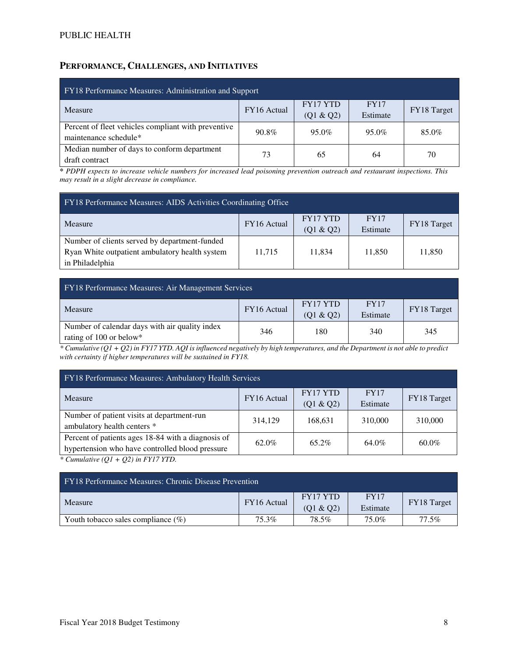## **PERFORMANCE, CHALLENGES, AND INITIATIVES**

| FY18 Performance Measures: Administration and Support                        |             |                       |                         |             |  |  |
|------------------------------------------------------------------------------|-------------|-----------------------|-------------------------|-------------|--|--|
| Measure                                                                      | FY16 Actual | FY17 YTD<br>(Q1 & Q2) | <b>FY17</b><br>Estimate | FY18 Target |  |  |
| Percent of fleet vehicles compliant with preventive<br>maintenance schedule* | 90.8%       | 95.0%                 | 95.0%                   | 85.0%       |  |  |
| Median number of days to conform department<br>draft contract                | 73          | 65                    | 64                      | 70          |  |  |

*\* PDPH expects to increase vehicle numbers for increased lead poisoning prevention outreach and restaurant inspections. This may result in a slight decrease in compliance.* 

| FY18 Performance Measures: AIDS Activities Coordinating Office |             |           |             |             |  |  |
|----------------------------------------------------------------|-------------|-----------|-------------|-------------|--|--|
| <b>Measure</b>                                                 | FY16 Actual | FY17 YTD  | <b>FY17</b> |             |  |  |
|                                                                |             | (Q1 & Q2) | Estimate    | FY18 Target |  |  |
| Number of clients served by department-funded                  |             |           |             |             |  |  |
| Ryan White outpatient ambulatory health system                 | 11,715      | 11.834    | 11,850      | 11,850      |  |  |
| in Philadelphia                                                |             |           |             |             |  |  |

| <b>FY18 Performance Measures: Air Management Services</b>                 |             |                       |                         |             |  |  |
|---------------------------------------------------------------------------|-------------|-----------------------|-------------------------|-------------|--|--|
| Measure                                                                   | FY16 Actual | FY17 YTD<br>(Q1 & Q2) | <b>FY17</b><br>Estimate | FY18 Target |  |  |
| Number of calendar days with air quality index<br>rating of 100 or below* | 346         | 180                   | 340                     | 345         |  |  |

*\* Cumulative (Q1 + Q2) in FY17 YTD. AQI is influenced negatively by high temperatures, and the Department is not able to predict with certainty if higher temperatures will be sustained in FY18.* 

| FY18 Performance Measures: Ambulatory Health Services |             |           |             |             |  |  |
|-------------------------------------------------------|-------------|-----------|-------------|-------------|--|--|
| Measure                                               | FY16 Actual | FY17 YTD  | <b>FY17</b> | FY18 Target |  |  |
|                                                       |             | (Q1 & Q2) | Estimate    |             |  |  |
| Number of patient visits at department-run            | 314,129     | 168,631   | 310,000     | 310,000     |  |  |
| ambulatory health centers *                           |             |           |             |             |  |  |
| Percent of patients ages 18-84 with a diagnosis of    | 62.0%       | 65.2%     | 64.0%       | $60.0\%$    |  |  |
| hypertension who have controlled blood pressure       |             |           |             |             |  |  |
| $\star$ Countable (OL $\star$ O2) in EV17 VTD         |             |           |             |             |  |  |

*\* Cumulative (Q1 + Q2) in FY17 YTD.* 

| <b>FY18 Performance Measures: Chronic Disease Prevention</b> |             |                       |                         |             |  |  |  |  |  |  |  |
|--------------------------------------------------------------|-------------|-----------------------|-------------------------|-------------|--|--|--|--|--|--|--|
| Measure                                                      | FY16 Actual | FY17 YTD<br>(01 & 02) | <b>FY17</b><br>Estimate | FY18 Target |  |  |  |  |  |  |  |
| Youth tobacco sales compliance $(\%)$                        | 75.3%       | <b>78.5%</b>          | 75.0%                   | $77.5\%$    |  |  |  |  |  |  |  |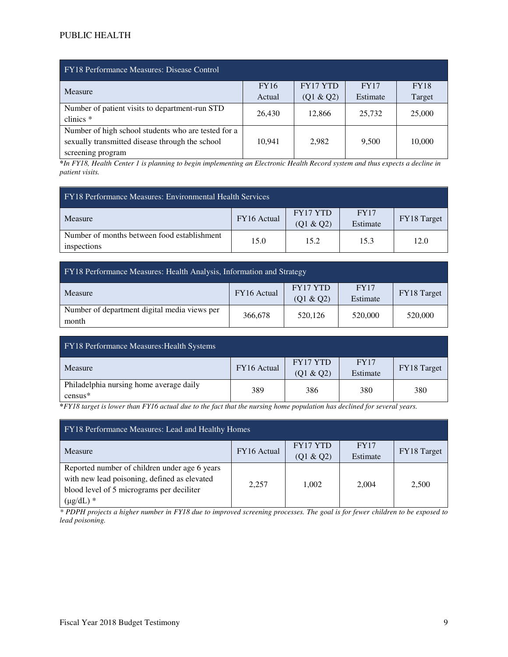### PUBLIC HEALTH

| <b>FY18 Performance Measures: Disease Control</b>                                                                           |             |                 |             |             |  |  |  |  |  |  |
|-----------------------------------------------------------------------------------------------------------------------------|-------------|-----------------|-------------|-------------|--|--|--|--|--|--|
| Measure                                                                                                                     | <b>FY16</b> | <b>FY17 YTD</b> | <b>FY17</b> | <b>FY18</b> |  |  |  |  |  |  |
|                                                                                                                             | Actual      | (Q1 & Q2)       | Estimate    | Target      |  |  |  |  |  |  |
| Number of patient visits to department-run STD<br>clinics $*$                                                               | 26,430      | 12,866          | 25,732      | 25,000      |  |  |  |  |  |  |
| Number of high school students who are tested for a<br>sexually transmitted disease through the school<br>screening program | 10.941      | 2,982           | 9,500       | 10,000      |  |  |  |  |  |  |

*\*In FY18, Health Center 1 is planning to begin implementing an Electronic Health Record system and thus expects a decline in patient visits.* 

| <b>FY18 Performance Measures: Environmental Health Services</b> |             |                              |                         |             |  |  |  |  |  |  |
|-----------------------------------------------------------------|-------------|------------------------------|-------------------------|-------------|--|--|--|--|--|--|
| Measure                                                         | FY16 Actual | <b>FY17 YTD</b><br>(Q1 & Q2) | <b>FY17</b><br>Estimate | FY18 Target |  |  |  |  |  |  |
| Number of months between food establishment<br>inspections      | 15.0        | 15.2                         | 15.3                    | 12.0        |  |  |  |  |  |  |

| <b>FY18 Performance Measures: Health Analysis, Information and Strategy</b> |             |                       |                         |             |  |  |  |  |  |  |
|-----------------------------------------------------------------------------|-------------|-----------------------|-------------------------|-------------|--|--|--|--|--|--|
| Measure                                                                     | FY16 Actual | FY17 YTD<br>(Q1 & Q2) | <b>FY17</b><br>Estimate | FY18 Target |  |  |  |  |  |  |
| Number of department digital media views per<br>month                       | 366,678     | 520,126               | 520,000                 | 520,000     |  |  |  |  |  |  |

| <b>FY18 Performance Measures: Health Systems</b>     |             |                       |                         |             |
|------------------------------------------------------|-------------|-----------------------|-------------------------|-------------|
| Measure                                              | FY16 Actual | FY17 YTD<br>(Q1 & Q2) | <b>FY17</b><br>Estimate | FY18 Target |
| Philadelphia nursing home average daily<br>$census*$ | 389         | 386                   | 380                     | 380         |

**\****FY18 target is lower than FY16 actual due to the fact that the nursing home population has declined for several years.* 

| FY18 Performance Measures: Lead and Healthy Homes |             |                 |             |             |  |  |  |  |  |  |  |
|---------------------------------------------------|-------------|-----------------|-------------|-------------|--|--|--|--|--|--|--|
| Measure                                           | FY16 Actual | <b>FY17 YTD</b> | <b>FY17</b> | FY18 Target |  |  |  |  |  |  |  |
|                                                   |             | (Q1 & Q2)       | Estimate    |             |  |  |  |  |  |  |  |
| Reported number of children under age 6 years     |             |                 |             |             |  |  |  |  |  |  |  |
| with new lead poisoning, defined as elevated      |             |                 | 2.004       |             |  |  |  |  |  |  |  |
| blood level of 5 micrograms per deciliter         | 2,257       | 1,002           |             | 2,500       |  |  |  |  |  |  |  |
| $(\mu g/dL)$ *                                    |             |                 |             |             |  |  |  |  |  |  |  |

*\* PDPH projects a higher number in FY18 due to improved screening processes. The goal is for fewer children to be exposed to lead poisoning.*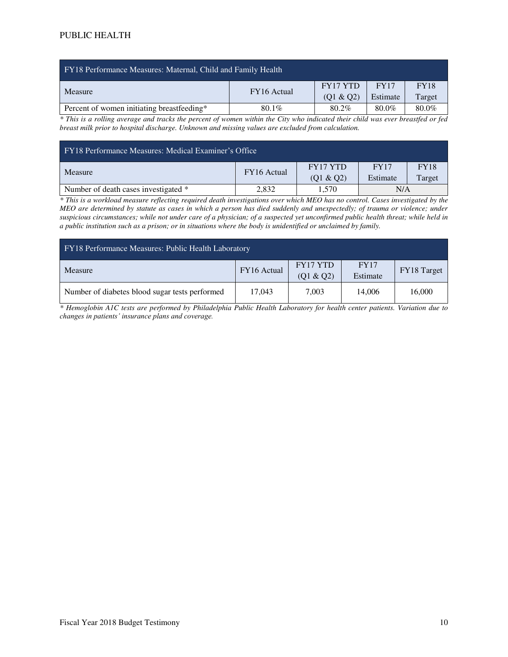| FY18 Performance Measures: Maternal, Child and Family Health |             |           |             |             |  |  |  |  |  |  |  |
|--------------------------------------------------------------|-------------|-----------|-------------|-------------|--|--|--|--|--|--|--|
| Measure                                                      | FY16 Actual | FY17 YTD  | <b>FY17</b> | <b>FY18</b> |  |  |  |  |  |  |  |
|                                                              |             | (Q1 & Q2) | Estimate    | Target      |  |  |  |  |  |  |  |
| Percent of women initiating breastfeeding*                   | $80.1\%$    | 80.2%     | 80.0%       | 80.0%       |  |  |  |  |  |  |  |

*\* This is a rolling average and tracks the percent of women within the City who indicated their child was ever breastfed or fed breast milk prior to hospital discharge. Unknown and missing values are excluded from calculation.* 

| FY18 Performance Measures: Medical Examiner's Office |             |                       |                         |                       |  |  |  |  |  |  |
|------------------------------------------------------|-------------|-----------------------|-------------------------|-----------------------|--|--|--|--|--|--|
| Measure                                              | FY16 Actual | FY17 YTD<br>(Q1 & Q2) | <b>FY17</b><br>Estimate | <b>FY18</b><br>Target |  |  |  |  |  |  |
| Number of death cases investigated *                 | 2,832       | 1.570                 | N/A                     |                       |  |  |  |  |  |  |

*\* This is a workload measure reflecting required death investigations over which MEO has no control. Cases investigated by the MEO are determined by statute as cases in which a person has died suddenly and unexpectedly; of trauma or violence; under suspicious circumstances; while not under care of a physician; of a suspected yet unconfirmed public health threat; while held in a public institution such as a prison; or in situations where the body is unidentified or unclaimed by family.* 

| FY18 Performance Measures: Public Health Laboratory |             |                       |                         |             |  |  |  |  |  |  |  |
|-----------------------------------------------------|-------------|-----------------------|-------------------------|-------------|--|--|--|--|--|--|--|
| Measure                                             | FY16 Actual | FY17 YTD<br>(Q1 & Q2) | <b>FY17</b><br>Estimate | FY18 Target |  |  |  |  |  |  |  |
| Number of diabetes blood sugar tests performed      | 17,043      | 7.003                 | 14,006                  | 16,000      |  |  |  |  |  |  |  |

*\* Hemoglobin A1C tests are performed by Philadelphia Public Health Laboratory for health center patients. Variation due to changes in patients' insurance plans and coverage.*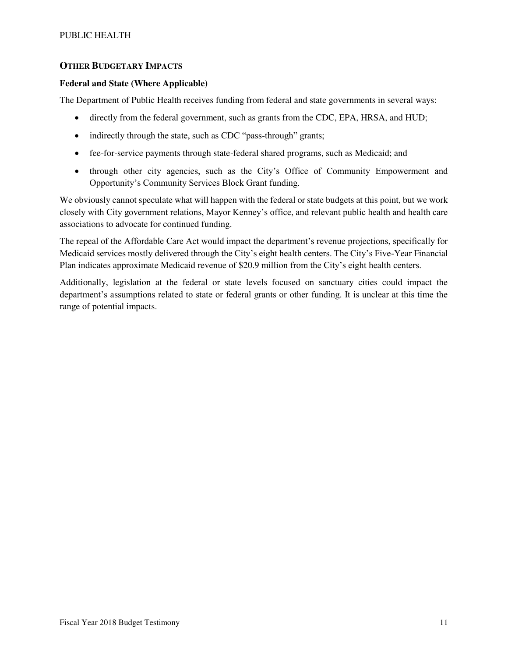### **OTHER BUDGETARY IMPACTS**

#### **Federal and State (Where Applicable)**

The Department of Public Health receives funding from federal and state governments in several ways:

- directly from the federal government, such as grants from the CDC, EPA, HRSA, and HUD;
- indirectly through the state, such as CDC "pass-through" grants;
- fee-for-service payments through state-federal shared programs, such as Medicaid; and
- through other city agencies, such as the City's Office of Community Empowerment and Opportunity's Community Services Block Grant funding.

We obviously cannot speculate what will happen with the federal or state budgets at this point, but we work closely with City government relations, Mayor Kenney's office, and relevant public health and health care associations to advocate for continued funding.

The repeal of the Affordable Care Act would impact the department's revenue projections, specifically for Medicaid services mostly delivered through the City's eight health centers. The City's Five-Year Financial Plan indicates approximate Medicaid revenue of \$20.9 million from the City's eight health centers.

Additionally, legislation at the federal or state levels focused on sanctuary cities could impact the department's assumptions related to state or federal grants or other funding. It is unclear at this time the range of potential impacts.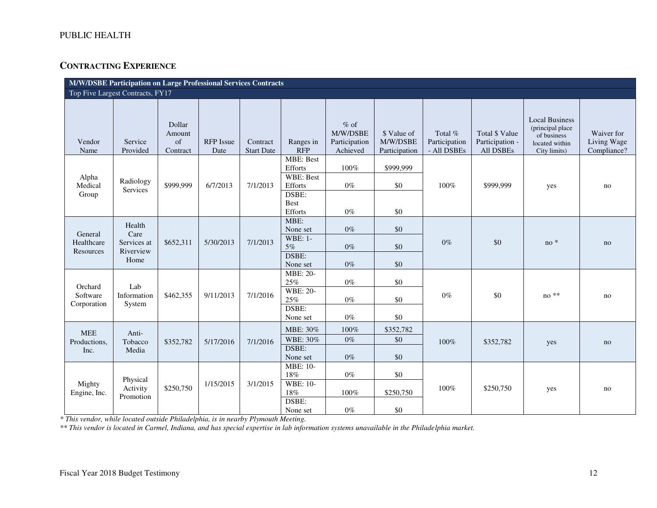## **CONTRACTING EXPERIENCE**

|                                             | M/W/DSBE Participation on Large Professional Services Contracts |                                                 |                                      |                                           |                                                                                                |                                                                  |                                                              |                                                 |                                                             |                                                                                                   |                                                |
|---------------------------------------------|-----------------------------------------------------------------|-------------------------------------------------|--------------------------------------|-------------------------------------------|------------------------------------------------------------------------------------------------|------------------------------------------------------------------|--------------------------------------------------------------|-------------------------------------------------|-------------------------------------------------------------|---------------------------------------------------------------------------------------------------|------------------------------------------------|
|                                             | Top Five Largest Contracts, FY17                                |                                                 |                                      |                                           |                                                                                                |                                                                  |                                                              |                                                 |                                                             |                                                                                                   |                                                |
| Vendor<br>Name<br>Alpha<br>Medical<br>Group | Service<br>Provided<br>Radiology<br>Services                    | Dollar<br>Amount<br>of<br>Contract<br>\$999,999 | <b>RFP</b> Issue<br>Date<br>6/7/2013 | Contract<br><b>Start Date</b><br>7/1/2013 | Ranges in<br><b>RFP</b><br><b>MBE: Best</b><br>Efforts<br><b>WBE: Best</b><br>Efforts<br>DSBE: | $%$ of<br>M/W/DSBE<br>Participation<br>Achieved<br>100%<br>$0\%$ | \$ Value of<br>M/W/DSBE<br>Participation<br>\$999,999<br>\$0 | Total %<br>Participation<br>- All DSBEs<br>100% | Total \$ Value<br>Participation -<br>All DSBEs<br>\$999.999 | <b>Local Business</b><br>(principal place<br>of business<br>located within<br>City limits)<br>yes | Waiver for<br>Living Wage<br>Compliance?<br>no |
|                                             |                                                                 |                                                 |                                      |                                           | <b>Best</b><br>Efforts                                                                         | $0\%$                                                            | \$0                                                          |                                                 |                                                             |                                                                                                   |                                                |
| General<br>Healthcare<br>Resources          | Health<br>Care<br>Services at<br>Riverview<br>Home              | \$652,311                                       | 5/30/2013                            | 7/1/2013                                  | MBE:<br>None set<br><b>WBE: 1-</b><br>5%<br>DSBE:<br>None set                                  | $0\%$<br>$0\%$<br>$0\%$                                          | \$0<br>\$0<br>\$0                                            | $0\%$                                           | \$0                                                         | $no*$                                                                                             | no                                             |
| Orchard<br>Software<br>Corporation          | Lab<br>Information<br>System                                    | \$462,355                                       | 9/11/2013                            | 7/1/2016                                  | <b>MBE: 20-</b><br>25%<br><b>WBE: 20-</b><br>25%<br>DSBE:<br>None set                          | $0\%$<br>$0\%$<br>$0\%$                                          | \$0<br>\$0<br>\$0                                            | $0\%$                                           | \$0                                                         | $no **$                                                                                           | no                                             |
| <b>MEE</b><br>Productions,<br>Inc.          | Anti-<br>Tobacco<br>Media                                       | \$352,782                                       | 5/17/2016                            | 7/1/2016                                  | MBE: 30%<br>WBE: 30%<br>DSBE:<br>None set                                                      | 100%<br>$0\%$<br>$0\%$                                           | \$352,782<br>\$0<br>\$0                                      | 100%                                            | \$352,782                                                   | yes                                                                                               | no                                             |
| Mighty<br>Engine, Inc.                      | Physical<br>Activity<br>Promotion                               | \$250,750                                       | 1/15/2015                            | 3/1/2015                                  | MBE: 10-<br>18%<br><b>WBE: 10-</b><br>18%<br>DSBE:<br>None set                                 | $0\%$<br>100%<br>$0\%$                                           | \$0<br>\$250,750<br>\$0                                      | 100%                                            | \$250,750                                                   | yes                                                                                               | no                                             |

*\* This vendor, while located outside Philadelphia, is in nearby Plymouth Meeting.* 

*\*\* This vendor is located in Carmel, Indiana, and has special expertise in lab information systems unavailable in the Philadelphia market.*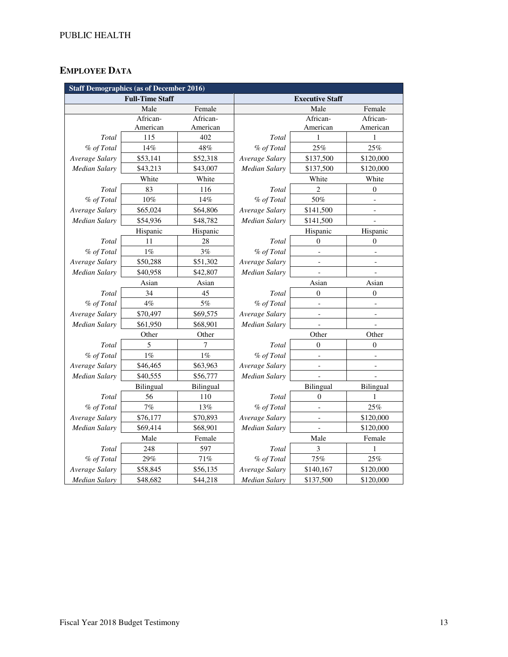# **EMPLOYEE DATA**

|                      | <b>Staff Demographics (as of December 2016)</b> |           |                      |                          |                          |  |  |
|----------------------|-------------------------------------------------|-----------|----------------------|--------------------------|--------------------------|--|--|
|                      | <b>Full-Time Staff</b>                          |           |                      | <b>Executive Staff</b>   |                          |  |  |
|                      | Male                                            | Female    |                      | Male                     | Female                   |  |  |
|                      | African-                                        | African-  |                      | African-                 | African-                 |  |  |
|                      | American                                        | American  |                      | American                 | American                 |  |  |
| Total                | 115                                             | 402       | Total                | 1                        | 1                        |  |  |
| % of Total           | 14%                                             | 48%       | % of Total           | 25%                      | 25%                      |  |  |
| Average Salary       | \$53,141                                        | \$52,318  | Average Salary       | \$137,500                | \$120,000                |  |  |
| Median Salary        | \$43,213                                        | \$43,007  | Median Salary        | \$137,500                | \$120,000                |  |  |
|                      | White                                           | White     |                      | White                    | White                    |  |  |
| Total                | 83                                              | 116       | Total                | 2                        | 0                        |  |  |
| % of Total           | 10%                                             | 14%       | % of Total           | 50%                      |                          |  |  |
| Average Salary       | \$65,024                                        | \$64,806  | Average Salary       | \$141,500                |                          |  |  |
| Median Salary        | \$54,936                                        | \$48,782  | Median Salary        | \$141,500                |                          |  |  |
|                      | Hispanic                                        | Hispanic  |                      | Hispanic                 | Hispanic                 |  |  |
| Total                | 11                                              | 28        | Total                | $\mathbf{0}$             | $\overline{0}$           |  |  |
| % of Total           | $1\%$                                           | 3%        | % of Total           | $\overline{\phantom{m}}$ | $\overline{a}$           |  |  |
| Average Salary       | \$50,288                                        | \$51,302  | Average Salary       | $\qquad \qquad -$        | $\overline{\phantom{a}}$ |  |  |
| Median Salary        | \$40,958                                        | \$42,807  | <b>Median Salary</b> |                          |                          |  |  |
|                      | Asian                                           | Asian     |                      | Asian                    | Asian                    |  |  |
| Total                | 34                                              | 45        | Total                | $\boldsymbol{0}$         | $\boldsymbol{0}$         |  |  |
| % of Total           | 4%                                              | $5\%$     | % of Total           |                          |                          |  |  |
| Average Salary       | \$70,497                                        | \$69,575  | Average Salary       | $\overline{\phantom{0}}$ | $\qquad \qquad -$        |  |  |
| Median Salary        | \$61,950                                        | \$68,901  | Median Salary        |                          |                          |  |  |
|                      | Other                                           | Other     |                      | Other                    | Other                    |  |  |
| Total                | 5                                               | 7         | Total                | $\theta$                 | $\theta$                 |  |  |
| % of Total           | 1%                                              | $1\%$     | % of Total           |                          |                          |  |  |
| Average Salary       | \$46,465                                        | \$63,963  | Average Salary       |                          |                          |  |  |
| Median Salary        | \$40,555                                        | \$56,777  | Median Salary        |                          |                          |  |  |
|                      | Bilingual                                       | Bilingual |                      | Bilingual                | Bilingual                |  |  |
| Total                | 56                                              | 110       | Total                | $\theta$                 | 1                        |  |  |
| % of Total           | 7%                                              | 13%       | % of Total           |                          | 25%                      |  |  |
| Average Salary       | \$76,177                                        | \$70,893  | Average Salary       |                          | \$120,000                |  |  |
| Median Salary        | \$69,414                                        | \$68,901  | Median Salary        |                          | \$120,000                |  |  |
|                      | Male                                            | Female    |                      | Male                     | Female                   |  |  |
| Total                | 248                                             | 597       | Total                | 3                        |                          |  |  |
| % of Total           | 29%                                             | 71%       | % of Total           | 75%                      | 25%                      |  |  |
| Average Salary       | \$58,845                                        | \$56,135  | Average Salary       | \$140,167                | \$120,000                |  |  |
| <b>Median Salary</b> | \$48,682                                        | \$44,218  | <b>Median Salary</b> | \$137,500                | \$120,000                |  |  |